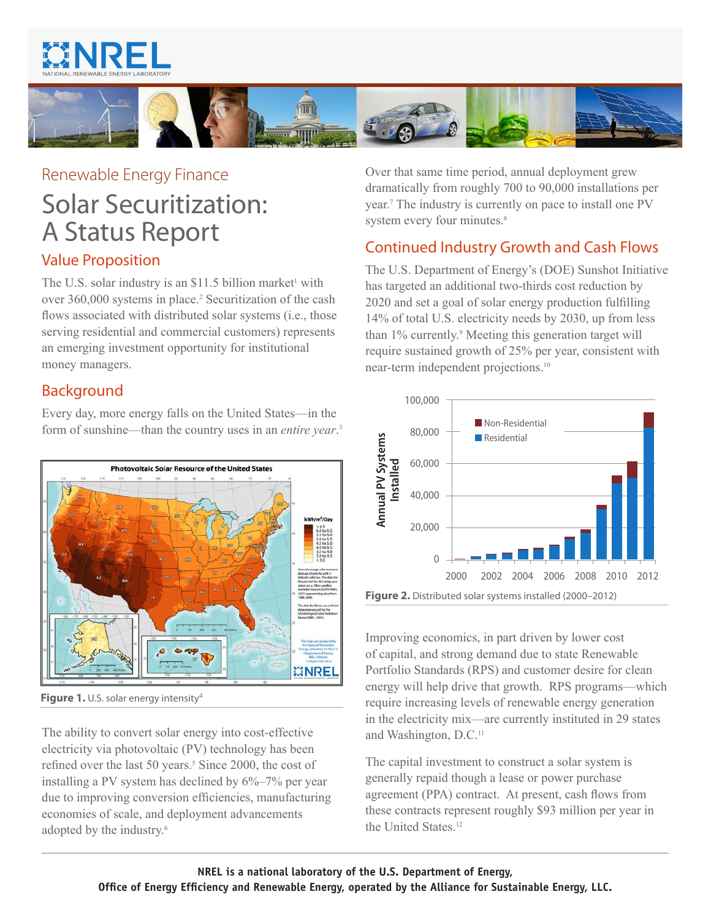



# Renewable Energy Finance Solar Securitization: A Status Report

## Value Proposition

The U.S. solar industry is an  $$11.5$  billion market<sup>1</sup> with over 360,000 systems in place.<sup>[2](#page-1-1)</sup> Securitization of the cash flows associated with distributed solar systems (i.e., those serving residential and commercial customers) represents an emerging investment opportunity for institutional money managers.

# Background

Every day, more energy falls on the United States—in the form of sunshine—than the country uses in an *entire year*. [3](#page-1-2)



**Figure 1.** U.S. solar energy intensity<sup>[4](#page-1-11)</sup>

The ability to convert solar energy into cost-effective electricity via photovoltaic (PV) technology has been refined over the last [5](#page-1-3)0 years.<sup>5</sup> Since 2000, the cost of installing a PV system has declined by 6%–7% per year due to improving conversion efficiencies, manufacturing economies of scale, and deployment advancements adopted by the industry.<sup>[6](#page-1-4)</sup>

Over that same time period, annual deployment grew dramatically from roughly 700 to 90,000 installations per year.[7](#page-1-5) The industry is currently on pace to install one PV system every four minutes.<sup>[8](#page-1-6)</sup>

# Continued Industry Growth and Cash Flows

The U.S. Department of Energy's (DOE) Sunshot Initiative has targeted an additional two-thirds cost reduction by 2020 and set a goal of solar energy production fulfilling 14% of total U.S. electricity needs by 2030, up from less than 1% currently.<sup>[9](#page-1-7)</sup> Meeting this generation target will require sustained growth of 25% per year, consistent with near-term independent projections[.10](#page-1-8)



Improving economics, in part driven by lower cost of capital, and strong demand due to state Renewable Portfolio Standards (RPS) and customer desire for clean energy will help drive that growth. RPS programs—which require increasing levels of renewable energy generation in the electricity mix—are currently instituted in 29 states and Washington, D.C.[11](#page-1-9)

The capital investment to construct a solar system is generally repaid though a lease or power purchase agreement (PPA) contract. At present, cash flows from these contracts represent roughly \$93 million per year in the United States<sup>[12](#page-1-10)</sup>